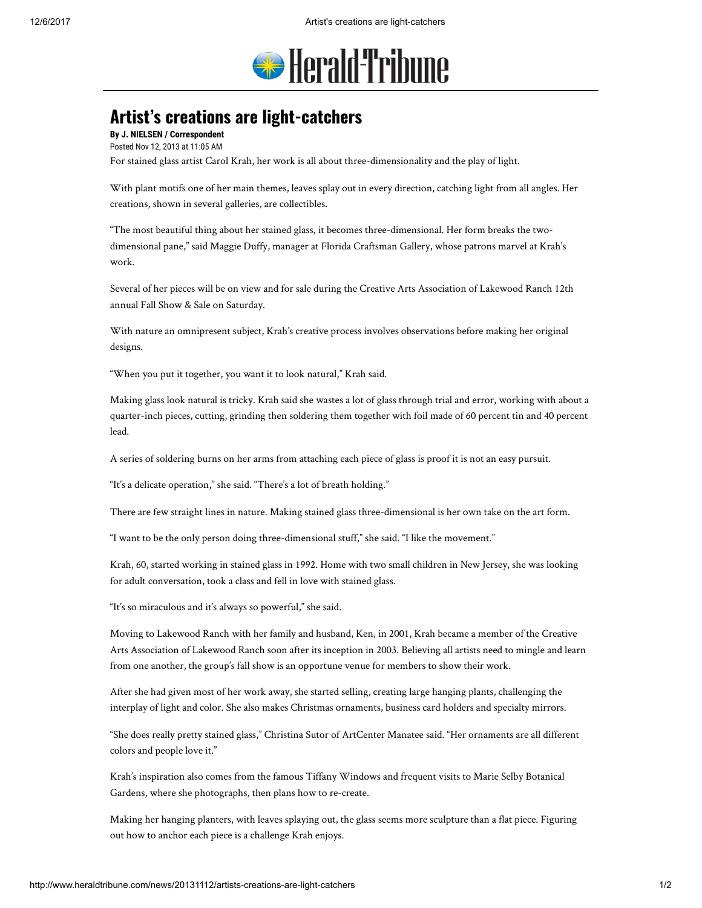

## Artist's creations are light-catchers

By J. NIELSEN / Correspondent Posted Nov 12, 2013 at 11:05 AM For stained glass artist Carol Krah, her work is all about three-dimensionality and the play of light.

With plant motifs one of her main themes, leaves splay out in every direction, catching light from all angles. Her creations, shown in several galleries, are collectibles.

"The most beautiful thing about her stained glass, it becomes three-dimensional. Her form breaks the twodimensional pane," said Maggie Duffy, manager at Florida Craftsman Gallery, whose patrons marvel at Krah's work.

Several of her pieces will be on view and for sale during the Creative Arts Association of Lakewood Ranch 12th annual Fall Show & Sale on Saturday.

With nature an omnipresent subject, Krah's creative process involves observations before making her original designs.

"When you put it together, you want it to look natural," Krah said.

Making glass look natural is tricky. Krah said she wastes a lot of glass through trial and error, working with about a quarter-inch pieces, cutting, grinding then soldering them together with foil made of 60 percent tin and 40 percent lead.

A series of soldering burns on her arms from attaching each piece of glass is proof it is not an easy pursuit.

"It's a delicate operation," she said. "There's a lot of breath holding."

There are few straight lines in nature. Making stained glass three-dimensional is her own take on the art form.

"I want to be the only person doing three-dimensional stuff," she said. "I like the movement."

Krah, 60, started working in stained glass in 1992. Home with two small children in New Jersey, she was looking for adult conversation, took a class and fell in love with stained glass.

"It's so miraculous and it's always so powerful," she said.

Moving to Lakewood Ranch with her family and husband, Ken, in 2001, Krah became a member of the Creative Arts Association of Lakewood Ranch soon after its inception in 2003. Believing all artists need to mingle and learn from one another, the group's fall show is an opportune venue for members to show their work.

After she had given most of her work away, she started selling, creating large hanging plants, challenging the interplay of light and color. She also makes Christmas ornaments, business card holders and specialty mirrors.

"She does really pretty stained glass," Christina Sutor of ArtCenter Manatee said. "Her ornaments are all different colors and people love it."

Krah's inspiration also comes from the famous Tiffany Windows and frequent visits to Marie Selby Botanical Gardens, where she photographs, then plans how to re-create.

Making her hanging planters, with leaves splaying out, the glass seems more sculpture than a flat piece. Figuring out how to anchor each piece is a challenge Krah enjoys.